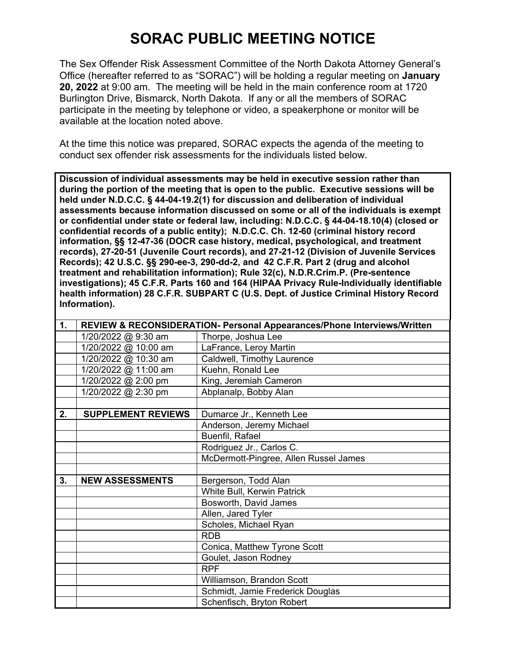## **SORAC PUBLIC MEETING NOTICE**

The Sex Offender Risk Assessment Committee of the North Dakota Attorney General's Office (hereafter referred to as "SORAC") will be holding a regular meeting on **January 20, 2022** at 9:00 am. The meeting will be held in the main conference room at 1720 Burlington Drive, Bismarck, North Dakota. If any or all the members of SORAC participate in the meeting by telephone or video, a speakerphone or monitor will be available at the location noted above.

At the time this notice was prepared, SORAC expects the agenda of the meeting to conduct sex offender risk assessments for the individuals listed below.

**Discussion of individual assessments may be held in executive session rather than during the portion of the meeting that is open to the public. Executive sessions will be held under N.D.C.C. § 44-04-19.2(1) for discussion and deliberation of individual assessments because information discussed on some or all of the individuals is exempt or confidential under state or federal law, including: N.D.C.C. § 44-04-18.10(4) (closed or confidential records of a public entity); N.D.C.C. Ch. 12-60 (criminal history record information, §§ 12-47-36 (DOCR case history, medical, psychological, and treatment records), 27-20-51 (Juvenile Court records), and 27-21-12 (Division of Juvenile Services Records); 42 U.S.C. §§ 290-ee-3, 290-dd-2, and 42 C.F.R. Part 2 (drug and alcohol treatment and rehabilitation information); Rule 32(c), N.D.R.Crim.P. (Pre-sentence investigations); 45 C.F.R. Parts 160 and 164 (HIPAA Privacy Rule-Individually identifiable health information) 28 C.F.R. SUBPART C (U.S. Dept. of Justice Criminal History Record Information).** 

| $\mathbf{1}$ . | REVIEW & RECONSIDERATION- Personal Appearances/Phone Interviews/Written |                                       |
|----------------|-------------------------------------------------------------------------|---------------------------------------|
|                | 1/20/2022 @ 9:30 am                                                     | Thorpe, Joshua Lee                    |
|                | 1/20/2022 @ 10:00 am                                                    | LaFrance, Leroy Martin                |
|                | 1/20/2022 @ 10:30 am                                                    | Caldwell, Timothy Laurence            |
|                | 1/20/2022 @ 11:00 am                                                    | Kuehn, Ronald Lee                     |
|                | 1/20/2022 @ 2:00 pm                                                     | King, Jeremiah Cameron                |
|                | 1/20/2022 @ 2:30 pm                                                     | Abplanalp, Bobby Alan                 |
|                |                                                                         |                                       |
| 2.             | <b>SUPPLEMENT REVIEWS</b>                                               | Dumarce Jr., Kenneth Lee              |
|                |                                                                         | Anderson, Jeremy Michael              |
|                |                                                                         | Buenfil, Rafael                       |
|                |                                                                         | Rodriguez Jr., Carlos C.              |
|                |                                                                         | McDermott-Pingree, Allen Russel James |
|                |                                                                         |                                       |
| 3.             | <b>NEW ASSESSMENTS</b>                                                  | Bergerson, Todd Alan                  |
|                |                                                                         | White Bull, Kerwin Patrick            |
|                |                                                                         | Bosworth, David James                 |
|                |                                                                         | Allen, Jared Tyler                    |
|                |                                                                         | Scholes, Michael Ryan                 |
|                |                                                                         | <b>RDB</b>                            |
|                |                                                                         | Conica, Matthew Tyrone Scott          |
|                |                                                                         | Goulet, Jason Rodney                  |
|                |                                                                         | <b>RPF</b>                            |
|                |                                                                         | Williamson, Brandon Scott             |
|                |                                                                         | Schmidt, Jamie Frederick Douglas      |
|                |                                                                         | Schenfisch, Bryton Robert             |